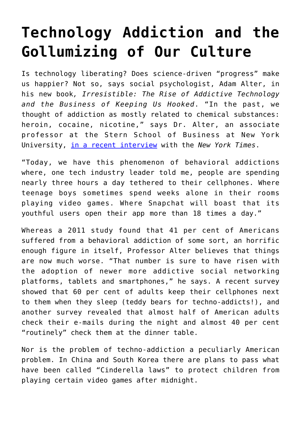## **[Technology Addiction and the](https://intellectualtakeout.org/2017/04/technology-addiction-and-the-gollumizing-of-our-culture/) [Gollumizing of Our Culture](https://intellectualtakeout.org/2017/04/technology-addiction-and-the-gollumizing-of-our-culture/)**

Is technology liberating? Does science-driven "progress" make us happier? Not so, says social psychologist, Adam Alter, in his new book*, Irresistible: The Rise of Addictive Technology and the Business of Keeping Us Hooked*. "In the past, we thought of addiction as mostly related to chemical substances: heroin, cocaine, nicotine," says Dr. Alter, an associate professor at the Stern School of Business at New York University, [in a recent interview](https://www.nytimes.com/2017/03/06/science/technology-addiction-irresistible-by-adam-alter.html?_r=1) with the *New York Times*.

"Today, we have this phenomenon of behavioral addictions where, one tech industry leader told me, people are spending nearly three hours a day tethered to their cellphones. Where teenage boys sometimes spend weeks alone in their rooms playing video games. Where Snapchat will boast that its youthful users open their app more than 18 times a day."

Whereas a 2011 study found that 41 per cent of Americans suffered from a behavioral addiction of some sort, an horrific enough figure in itself, Professor Alter believes that things are now much worse. "That number is sure to have risen with the adoption of newer more addictive social networking platforms, tablets and smartphones," he says. A recent survey showed that 60 per cent of adults keep their cellphones next to them when they sleep (teddy bears for techno-addicts!), and another survey revealed that almost half of American adults check their e-mails during the night and almost 40 per cent "routinely" check them at the dinner table.

Nor is the problem of techno-addiction a peculiarly American problem. In China and South Korea there are plans to pass what have been called "Cinderella laws" to protect children from playing certain video games after midnight.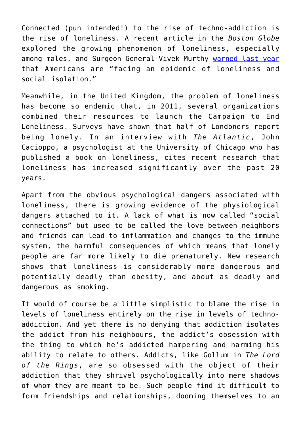Connected (pun intended!) to the rise of techno-addiction is the rise of loneliness. A recent article in the *Boston Globe* explored the growing phenomenon of loneliness, especially among males, and Surgeon General Vivek Murthy [warned last year](http://www.theatlantic.com/health/archive/2017/04/how-loneliness-begets-loneliness/521841/) that Americans are "facing an epidemic of loneliness and social isolation."

Meanwhile, in the United Kingdom, the problem of loneliness has become so endemic that, in 2011, several organizations combined their resources to launch the Campaign to End Loneliness. Surveys have shown that half of Londoners report being lonely. In an interview with *The Atlantic*, John Cacioppo, a psychologist at the University of Chicago who has published a book on loneliness, cites recent research that loneliness has increased significantly over the past 20 years.

Apart from the obvious psychological dangers associated with loneliness, there is growing evidence of the physiological dangers attached to it. A lack of what is now called "social connections" but used to be called the love between neighbors and friends can lead to inflammation and changes to the immune system, the harmful consequences of which means that lonely people are far more likely to die prematurely. New research shows that loneliness is considerably more dangerous and potentially deadly than obesity, and about as deadly and dangerous as smoking.

It would of course be a little simplistic to blame the rise in levels of loneliness entirely on the rise in levels of technoaddiction. And yet there is no denying that addiction isolates the addict from his neighbours, the addict's obsession with the thing to which he's addicted hampering and harming his ability to relate to others. Addicts, like Gollum in *The Lord of the Rings*, are so obsessed with the object of their addiction that they shrivel psychologically into mere shadows of whom they are meant to be. Such people find it difficult to form friendships and relationships, dooming themselves to an